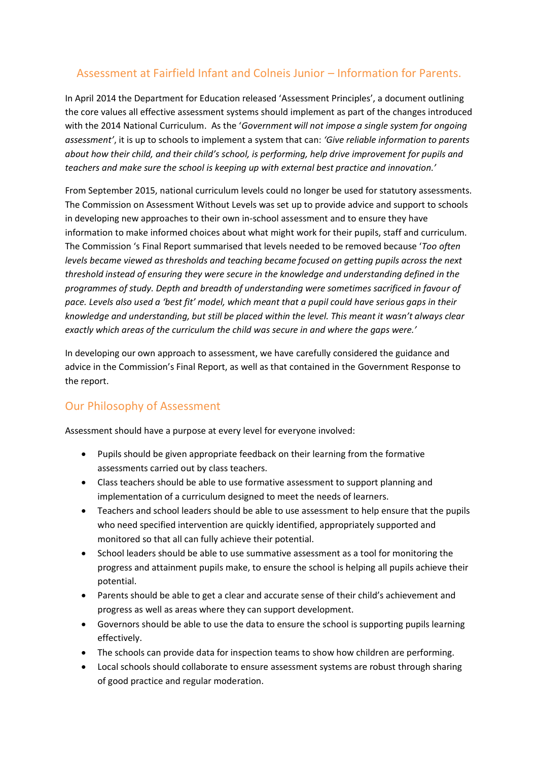# Assessment at Fairfield Infant and Colneis Junior – Information for Parents.

In April 2014 the Department for Education released 'Assessment Principles', a document outlining the core values all effective assessment systems should implement as part of the changes introduced with the 2014 National Curriculum. As the '*Government will not impose a single system for ongoing assessment'*, it is up to schools to implement a system that can: *'Give reliable information to parents about how their child, and their child's school, is performing, help drive improvement for pupils and teachers and make sure the school is keeping up with external best practice and innovation.'*

From September 2015, national curriculum levels could no longer be used for statutory assessments. The Commission on Assessment Without Levels was set up to provide advice and support to schools in developing new approaches to their own in-school assessment and to ensure they have information to make informed choices about what might work for their pupils, staff and curriculum. The Commission 's Final Report summarised that levels needed to be removed because '*Too often levels became viewed as thresholds and teaching became focused on getting pupils across the next threshold instead of ensuring they were secure in the knowledge and understanding defined in the programmes of study. Depth and breadth of understanding were sometimes sacrificed in favour of pace. Levels also used a 'best fit' model, which meant that a pupil could have serious gaps in their knowledge and understanding, but still be placed within the level. This meant it wasn't always clear exactly which areas of the curriculum the child was secure in and where the gaps were.'*

In developing our own approach to assessment, we have carefully considered the guidance and advice in the Commission's Final Report, as well as that contained in the Government Response to the report.

# Our Philosophy of Assessment

Assessment should have a purpose at every level for everyone involved:

- Pupils should be given appropriate feedback on their learning from the formative assessments carried out by class teachers.
- Class teachers should be able to use formative assessment to support planning and implementation of a curriculum designed to meet the needs of learners.
- Teachers and school leaders should be able to use assessment to help ensure that the pupils who need specified intervention are quickly identified, appropriately supported and monitored so that all can fully achieve their potential.
- School leaders should be able to use summative assessment as a tool for monitoring the progress and attainment pupils make, to ensure the school is helping all pupils achieve their potential.
- Parents should be able to get a clear and accurate sense of their child's achievement and progress as well as areas where they can support development.
- Governors should be able to use the data to ensure the school is supporting pupils learning effectively.
- The schools can provide data for inspection teams to show how children are performing.
- Local schools should collaborate to ensure assessment systems are robust through sharing of good practice and regular moderation.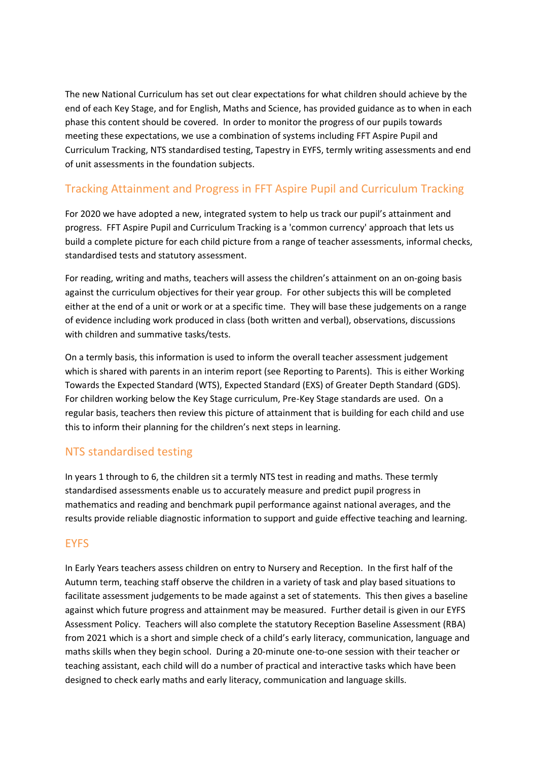The new National Curriculum has set out clear expectations for what children should achieve by the end of each Key Stage, and for English, Maths and Science, has provided guidance as to when in each phase this content should be covered. In order to monitor the progress of our pupils towards meeting these expectations, we use a combination of systems including FFT Aspire Pupil and Curriculum Tracking, NTS standardised testing, Tapestry in EYFS, termly writing assessments and end of unit assessments in the foundation subjects.

# Tracking Attainment and Progress in FFT Aspire Pupil and Curriculum Tracking

For 2020 we have adopted a new, integrated system to help us track our pupil's attainment and progress. FFT Aspire Pupil and Curriculum Tracking is a 'common currency' approach that lets us build a complete picture for each child picture from a range of teacher assessments, informal checks, standardised tests and statutory assessment.

For reading, writing and maths, teachers will assess the children's attainment on an on-going basis against the curriculum objectives for their year group. For other subjects this will be completed either at the end of a unit or work or at a specific time. They will base these judgements on a range of evidence including work produced in class (both written and verbal), observations, discussions with children and summative tasks/tests.

On a termly basis, this information is used to inform the overall teacher assessment judgement which is shared with parents in an interim report (see Reporting to Parents). This is either Working Towards the Expected Standard (WTS), Expected Standard (EXS) of Greater Depth Standard (GDS). For children working below the Key Stage curriculum, Pre-Key Stage standards are used. On a regular basis, teachers then review this picture of attainment that is building for each child and use this to inform their planning for the children's next steps in learning.

## NTS standardised testing

In years 1 through to 6, the children sit a termly NTS test in reading and maths. These termly standardised assessments enable us to accurately measure and predict pupil progress in mathematics and reading and benchmark pupil performance against national averages, and the results provide reliable diagnostic information to support and guide effective teaching and learning.

### **EYFS**

In Early Years teachers assess children on entry to Nursery and Reception. In the first half of the Autumn term, teaching staff observe the children in a variety of task and play based situations to facilitate assessment judgements to be made against a set of statements. This then gives a baseline against which future progress and attainment may be measured. Further detail is given in our EYFS Assessment Policy. Teachers will also complete the statutory Reception Baseline Assessment (RBA) from 2021 which is a short and simple check of a child's early literacy, communication, language and maths skills when they begin school. During a 20-minute one-to-one session with their teacher or teaching assistant, each child will do a number of practical and interactive tasks which have been designed to check early maths and early literacy, communication and language skills.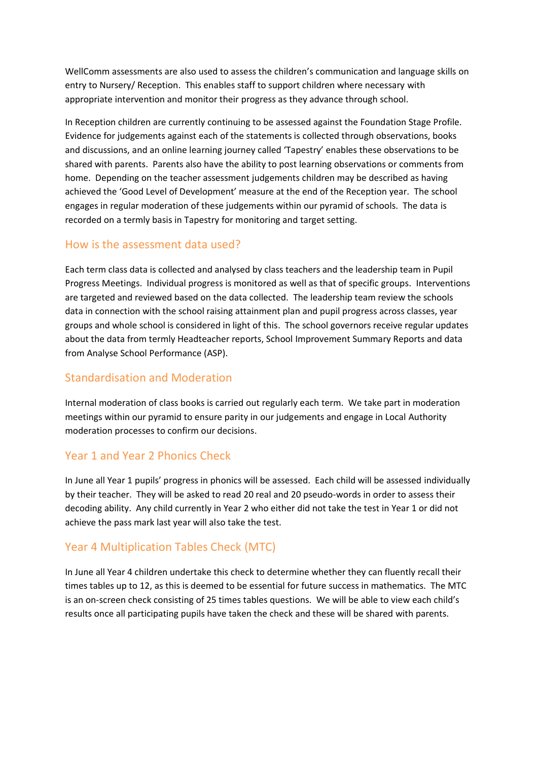WellComm assessments are also used to assess the children's communication and language skills on entry to Nursery/ Reception. This enables staff to support children where necessary with appropriate intervention and monitor their progress as they advance through school.

In Reception children are currently continuing to be assessed against the Foundation Stage Profile. Evidence for judgements against each of the statements is collected through observations, books and discussions, and an online learning journey called 'Tapestry' enables these observations to be shared with parents. Parents also have the ability to post learning observations or comments from home. Depending on the teacher assessment judgements children may be described as having achieved the 'Good Level of Development' measure at the end of the Reception year. The school engages in regular moderation of these judgements within our pyramid of schools. The data is recorded on a termly basis in Tapestry for monitoring and target setting.

#### How is the assessment data used?

Each term class data is collected and analysed by class teachers and the leadership team in Pupil Progress Meetings. Individual progress is monitored as well as that of specific groups. Interventions are targeted and reviewed based on the data collected. The leadership team review the schools data in connection with the school raising attainment plan and pupil progress across classes, year groups and whole school is considered in light of this. The school governors receive regular updates about the data from termly Headteacher reports, School Improvement Summary Reports and data from Analyse School Performance (ASP).

#### Standardisation and Moderation

Internal moderation of class books is carried out regularly each term. We take part in moderation meetings within our pyramid to ensure parity in our judgements and engage in Local Authority moderation processes to confirm our decisions.

### Year 1 and Year 2 Phonics Check

In June all Year 1 pupils' progress in phonics will be assessed. Each child will be assessed individually by their teacher. They will be asked to read 20 real and 20 pseudo-words in order to assess their decoding ability. Any child currently in Year 2 who either did not take the test in Year 1 or did not achieve the pass mark last year will also take the test.

### Year 4 Multiplication Tables Check (MTC)

In June all Year 4 children undertake this check to determine whether they can fluently recall their times tables up to 12, as this is deemed to be essential for future success in mathematics. The MTC is an on-screen check consisting of 25 times tables questions. We will be able to view each child's results once all participating pupils have taken the check and these will be shared with parents.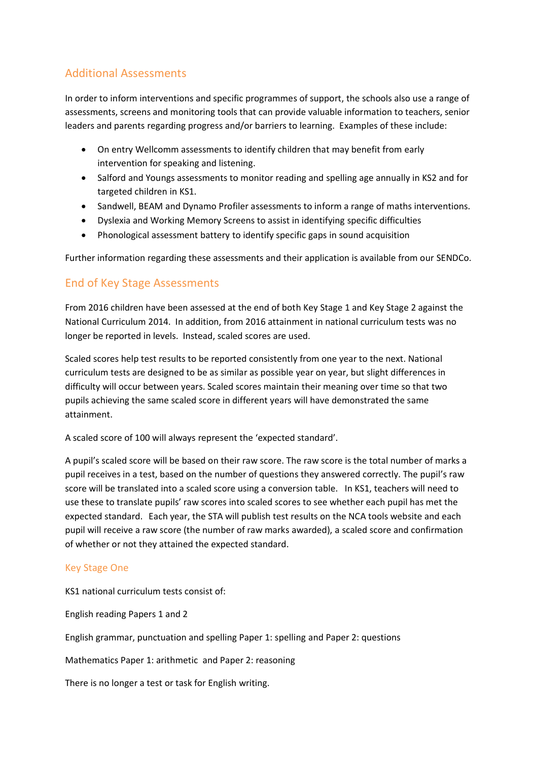# Additional Assessments

In order to inform interventions and specific programmes of support, the schools also use a range of assessments, screens and monitoring tools that can provide valuable information to teachers, senior leaders and parents regarding progress and/or barriers to learning. Examples of these include:

- On entry Wellcomm assessments to identify children that may benefit from early intervention for speaking and listening.
- Salford and Youngs assessments to monitor reading and spelling age annually in KS2 and for targeted children in KS1.
- Sandwell, BEAM and Dynamo Profiler assessments to inform a range of maths interventions.
- Dyslexia and Working Memory Screens to assist in identifying specific difficulties
- Phonological assessment battery to identify specific gaps in sound acquisition

Further information regarding these assessments and their application is available from our SENDCo.

## End of Key Stage Assessments

From 2016 children have been assessed at the end of both Key Stage 1 and Key Stage 2 against the National Curriculum 2014. In addition, from 2016 attainment in national curriculum tests was no longer be reported in levels. Instead, scaled scores are used.

Scaled scores help test results to be reported consistently from one year to the next. National curriculum tests are designed to be as similar as possible year on year, but slight differences in difficulty will occur between years. Scaled scores maintain their meaning over time so that two pupils achieving the same scaled score in different years will have demonstrated the same attainment.

A scaled score of 100 will always represent the 'expected standard'.

A pupil's scaled score will be based on their raw score. The raw score is the total number of marks a pupil receives in a test, based on the number of questions they answered correctly. The pupil's raw score will be translated into a scaled score using a conversion table. In KS1, teachers will need to use these to translate pupils' raw scores into scaled scores to see whether each pupil has met the expected standard. Each year, the STA will publish test results on the NCA tools website and each pupil will receive a raw score (the number of raw marks awarded), a scaled score and confirmation of whether or not they attained the expected standard.

#### Key Stage One

KS1 national curriculum tests consist of:

English reading Papers 1 and 2

English grammar, punctuation and spelling Paper 1: spelling and Paper 2: questions

Mathematics Paper 1: arithmetic and Paper 2: reasoning

There is no longer a test or task for English writing.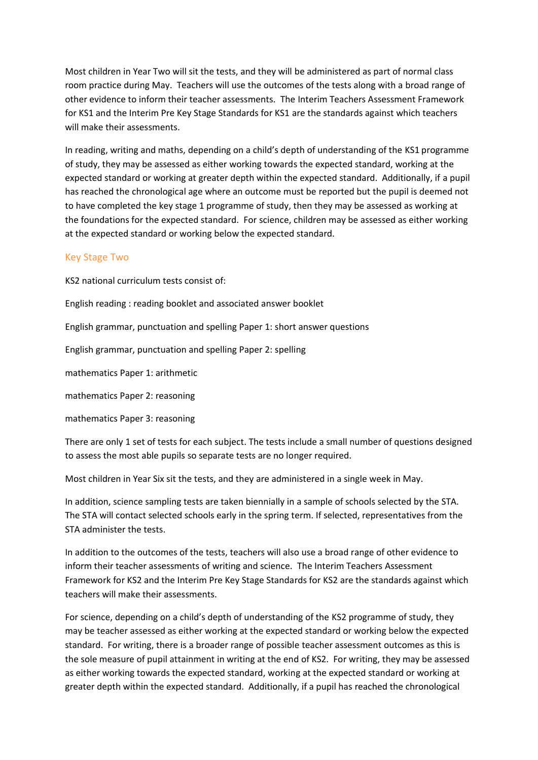Most children in Year Two will sit the tests, and they will be administered as part of normal class room practice during May. Teachers will use the outcomes of the tests along with a broad range of other evidence to inform their teacher assessments. The Interim Teachers Assessment Framework for KS1 and the Interim Pre Key Stage Standards for KS1 are the standards against which teachers will make their assessments.

In reading, writing and maths, depending on a child's depth of understanding of the KS1 programme of study, they may be assessed as either working towards the expected standard, working at the expected standard or working at greater depth within the expected standard. Additionally, if a pupil has reached the chronological age where an outcome must be reported but the pupil is deemed not to have completed the key stage 1 programme of study, then they may be assessed as working at the foundations for the expected standard. For science, children may be assessed as either working at the expected standard or working below the expected standard.

#### Key Stage Two

KS2 national curriculum tests consist of:

English reading : reading booklet and associated answer booklet

English grammar, punctuation and spelling Paper 1: short answer questions

English grammar, punctuation and spelling Paper 2: spelling

mathematics Paper 1: arithmetic

mathematics Paper 2: reasoning

mathematics Paper 3: reasoning

There are only 1 set of tests for each subject. The tests include a small number of questions designed to assess the most able pupils so separate tests are no longer required.

Most children in Year Six sit the tests, and they are administered in a single week in May.

In addition, science sampling tests are taken biennially in a sample of schools selected by the STA. The STA will contact selected schools early in the spring term. If selected, representatives from the STA administer the tests.

In addition to the outcomes of the tests, teachers will also use a broad range of other evidence to inform their teacher assessments of writing and science. The Interim Teachers Assessment Framework for KS2 and the Interim Pre Key Stage Standards for KS2 are the standards against which teachers will make their assessments.

For science, depending on a child's depth of understanding of the KS2 programme of study, they may be teacher assessed as either working at the expected standard or working below the expected standard. For writing, there is a broader range of possible teacher assessment outcomes as this is the sole measure of pupil attainment in writing at the end of KS2. For writing, they may be assessed as either working towards the expected standard, working at the expected standard or working at greater depth within the expected standard. Additionally, if a pupil has reached the chronological